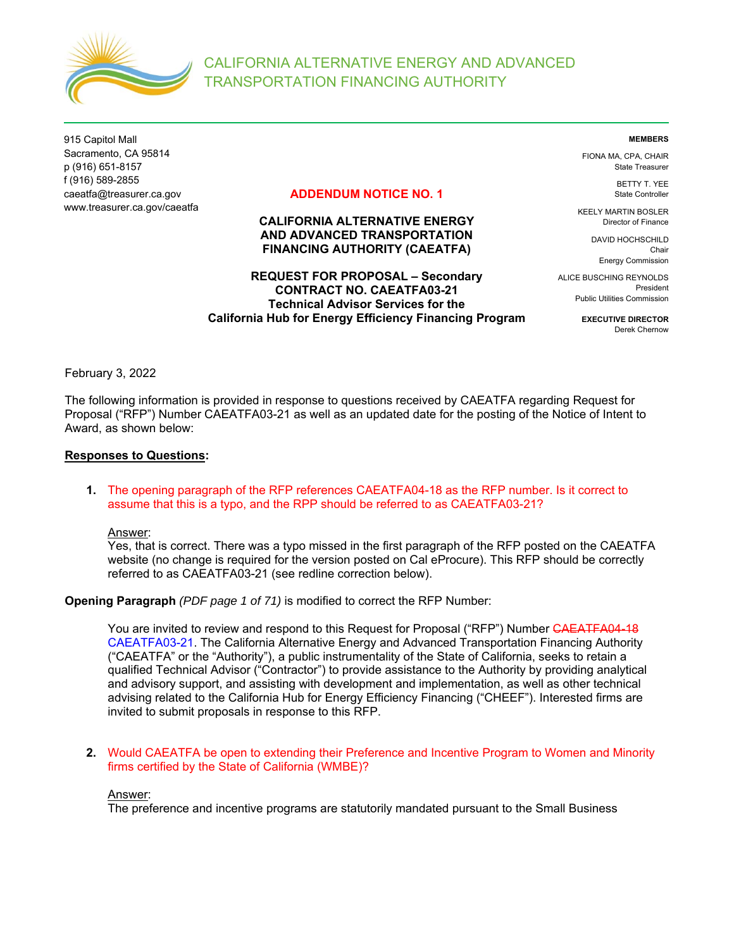

915 Capitol Mall Sacramento, CA 95814 p (916) 651-8157 f (916) 589-2855 caeatfa@treasurer.ca.gov www.treasurer.ca.gov/caeatfa

## **ADDENDUM NOTICE NO. 1**

# **CALIFORNIA ALTERNATIVE ENERGY AND ADVANCED TRANSPORTATION FINANCING AUTHORITY (CAEATFA)**

## **REQUEST FOR PROPOSAL – Secondary CONTRACT NO. CAEATFA03-21 Technical Advisor Services for the California Hub for Energy Efficiency Financing Program**

**MEMBERS** 

FIONA MA, CPA, CHAIR State Treasurer

> BETTY T. YEE State Controller

KEELY MARTIN BOSLER Director of Finance

> DAVID HOCHSCHILD Chair Energy Commission

ALICE BUSCHING REYNOLDS President Public Utilities Commission

> **EXECUTIVE DIRECTOR**  Derek Chernow

February 3, 2022

The following information is provided in response to questions received by CAEATFA regarding Request for Proposal ("RFP") Number CAEATFA03-21 as well as an updated date for the posting of the Notice of Intent to Award, as shown below:

### **Responses to Questions:**

**1.** The opening paragraph of the RFP references CAEATFA04-18 as the RFP number. Is it correct to assume that this is a typo, and the RPP should be referred to as CAEATFA03-21?

Answer:

Yes, that is correct. There was a typo missed in the first paragraph of the RFP posted on the CAEATFA website (no change is required for the version posted on Cal eProcure). This RFP should be correctly referred to as CAEATFA03-21 (see redline correction below).

**Opening Paragraph** *(PDF page 1 of 71)* is modified to correct the RFP Number:

You are invited to review and respond to this Request for Proposal ("RFP") Number CAEATFA04-18 CAEATFA03-21. The California Alternative Energy and Advanced Transportation Financing Authority ("CAEATFA" or the "Authority"), a public instrumentality of the State of California, seeks to retain a qualified Technical Advisor ("Contractor") to provide assistance to the Authority by providing analytical and advisory support, and assisting with development and implementation, as well as other technical advising related to the California Hub for Energy Efficiency Financing ("CHEEF"). Interested firms are invited to submit proposals in response to this RFP.

**2.** Would CAEATFA be open to extending their Preference and Incentive Program to Women and Minority firms certified by the State of California (WMBE)?

### Answer:

The preference and incentive programs are statutorily mandated pursuant to the Small Business